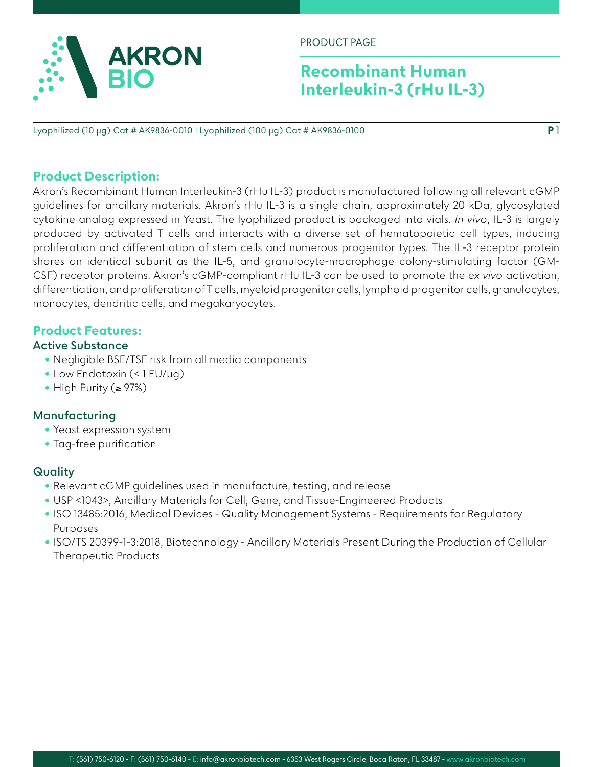

PRODUCT PAGE

# **Recombinant Human Interleukin-3 (rHu IL-3)**

**P** 1

Lyophilized (10 µg) Cat # AK9836-0010 I Lyophilized (100 µg) Cat # AK9836-0100

# **Product Description:**

Akron's Recombinant Human Interleukin-3 (rHu IL-3) product is manufactured following all relevant cGMP guidelines for ancillary materials. Akron's rHu IL-3 is a single chain, approximately 20 kDa, glycosylated cytokine analog expressed in Yeast. The lyophilized product is packaged into vials. *In vivo*, IL-3 is largely produced by activated T cells and interacts with a diverse set of hematopoietic cell types, inducing proliferation and differentiation of stem cells and numerous progenitor types. The IL-3 receptor protein shares an identical subunit as the IL-5, and granulocyte-macrophage colony-stimulating factor (GM-CSF) receptor proteins. Akron's cGMP-compliant rHu IL-3 can be used to promote the *ex vivo* activation, differentiation, and proliferation of T cells, myeloid progenitor cells, lymphoid progenitor cells, granulocytes, monocytes, dendritic cells, and megakaryocytes.

# **Product Features:**

### **Active Substance**

- Negligible BSE/TSE risk from all media components
- Low Endotoxin (< 1 EU/µg)
- High Purity (≥ 97%)

### **Manufacturing**

- Yeast expression system
- Tag-free purification

## **Quality**

- Relevant cGMP guidelines used in manufacture, testing, and release
- USP <1043>, Ancillary Materials for Cell, Gene, and Tissue-Engineered Products
- ISO 13485:2016, Medical Devices Quality Management Systems Requirements for Regulatory Purposes
- ISO/TS 20399-1-3:2018, Biotechnology Ancillary Materials Present During the Production of Cellular Therapeutic Products